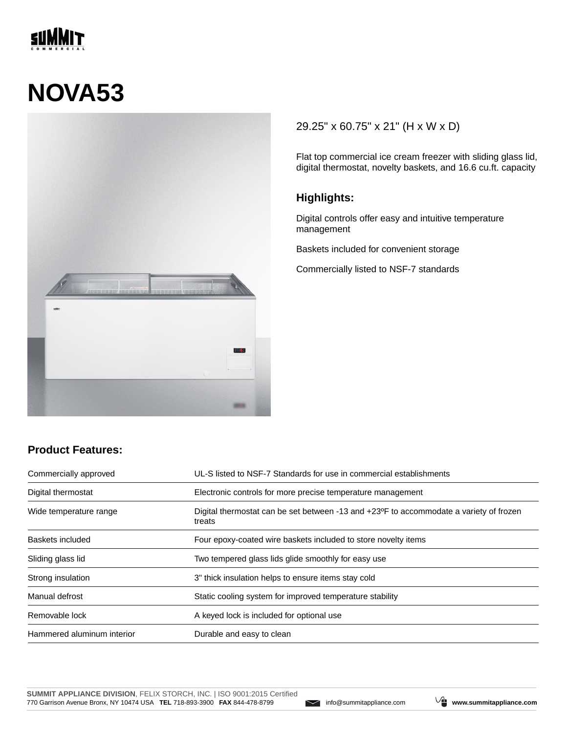

# **NOVA53**



### 29.25" x 60.75" x 21" (H x W x D)

Flat top commercial ice cream freezer with sliding glass lid, digital thermostat, novelty baskets, and 16.6 cu.ft. capacity

#### **Highlights:**

Digital controls offer easy and intuitive temperature management

Baskets included for convenient storage

Commercially listed to NSF-7 standards

## **Product Features:**

| Commercially approved      | UL-S listed to NSF-7 Standards for use in commercial establishments                                           |  |
|----------------------------|---------------------------------------------------------------------------------------------------------------|--|
| Digital thermostat         | Electronic controls for more precise temperature management                                                   |  |
| Wide temperature range     | Digital thermostat can be set between -13 and +23 <sup>o</sup> F to accommodate a variety of frozen<br>treats |  |
| Baskets included           | Four epoxy-coated wire baskets included to store novelty items                                                |  |
| Sliding glass lid          | Two tempered glass lids glide smoothly for easy use                                                           |  |
| Strong insulation          | 3" thick insulation helps to ensure items stay cold                                                           |  |
| Manual defrost             | Static cooling system for improved temperature stability                                                      |  |
| Removable lock             | A keyed lock is included for optional use                                                                     |  |
| Hammered aluminum interior | Durable and easy to clean                                                                                     |  |